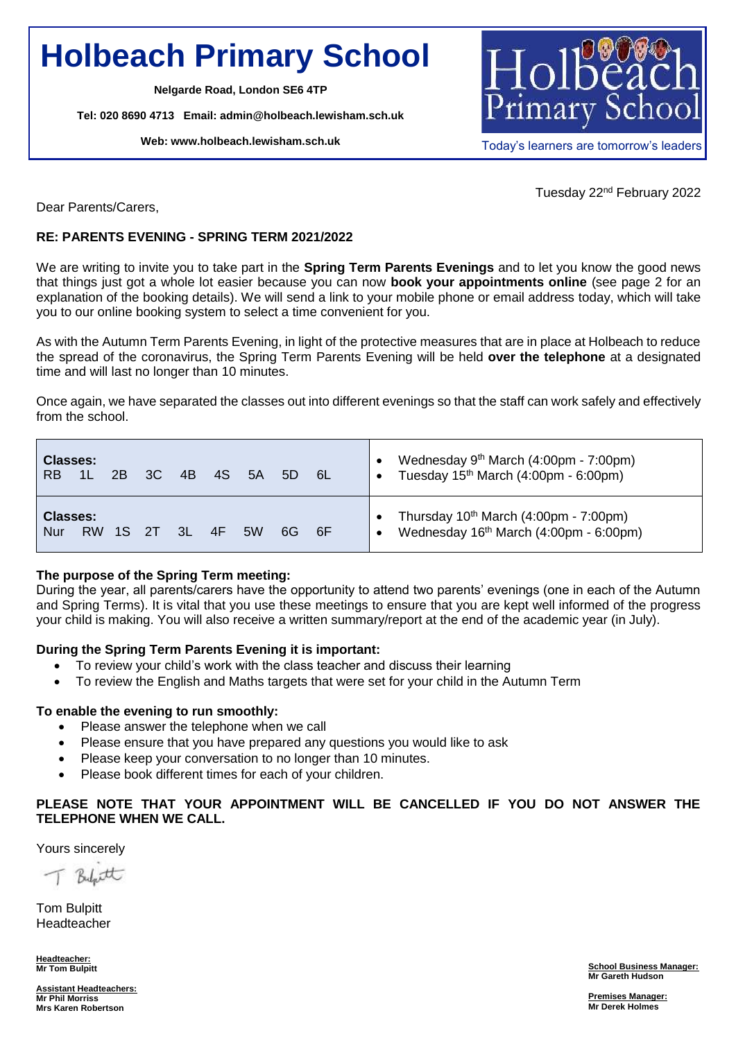# **Holbeach Primary School**

**Nelgarde Road, London SE6 4TP**

**Tel: 020 8690 4713 Email: [admin@holbeach.lewisham.sch.uk](mailto:admin@holbeach.lewisham.sch.uk)**

**Web: [www.holbeach.lewisham.sch.uk](http://www.holbeach.lewisham.sch.uk/)**



Today's learners are tomorrow's leaders

Tuesday 22nd February 2022

Dear Parents/Carers,

### **RE: PARENTS EVENING - SPRING TERM 2021/2022**

We are writing to invite you to take part in the **Spring Term Parents Evenings** and to let you know the good news that things just got a whole lot easier because you can now **book your appointments online** (see page 2 for an explanation of the booking details). We will send a link to your mobile phone or email address today, which will take you to our online booking system to select a time convenient for you.

As with the Autumn Term Parents Evening, in light of the protective measures that are in place at Holbeach to reduce the spread of the coronavirus, the Spring Term Parents Evening will be held **over the telephone** at a designated time and will last no longer than 10 minutes.

Once again, we have separated the classes out into different evenings so that the staff can work safely and effectively from the school.

| <b>Classes:</b><br><b>RB</b> | 1 <sub>L</sub> | 2 <sub>R</sub> | 3C  | 4B            | 4S | 5A | 5D  | -6L | Wednesday 9 <sup>th</sup> March (4:00pm - 7:00pm)<br>Tuesday 15 <sup>th</sup> March (4:00pm - 6:00pm) |
|------------------------------|----------------|----------------|-----|---------------|----|----|-----|-----|-------------------------------------------------------------------------------------------------------|
| <b>Classes:</b><br>Nur       | <b>RW</b>      | 1S             | -2T | $\mathcal{R}$ | 4F | 5W | 6G. | 6F  | Thursday $10^{th}$ March (4:00pm - 7:00pm)<br>Wednesday 16 <sup>th</sup> March (4:00pm - 6:00pm)      |

#### **The purpose of the Spring Term meeting:**

During the year, all parents/carers have the opportunity to attend two parents' evenings (one in each of the Autumn and Spring Terms). It is vital that you use these meetings to ensure that you are kept well informed of the progress your child is making. You will also receive a written summary/report at the end of the academic year (in July).

#### **During the Spring Term Parents Evening it is important:**

- To review your child's work with the class teacher and discuss their learning
- To review the English and Maths targets that were set for your child in the Autumn Term

### **To enable the evening to run smoothly:**

- Please answer the telephone when we call
- Please ensure that you have prepared any questions you would like to ask
- Please keep your conversation to no longer than 10 minutes.
- Please book different times for each of your children.

### **PLEASE NOTE THAT YOUR APPOINTMENT WILL BE CANCELLED IF YOU DO NOT ANSWER THE TELEPHONE WHEN WE CALL.**

Yours sincerely

Bylatt

Tom Bulpitt Headteacher

**Headteacher: Mr Tom Bulpitt**

**School Business Manager: Mr Gareth Hudson**

**Assistant Headteachers: Mr Phil Morriss Mrs Karen Robertson**

**Premises Manager: Mr Derek Holmes**